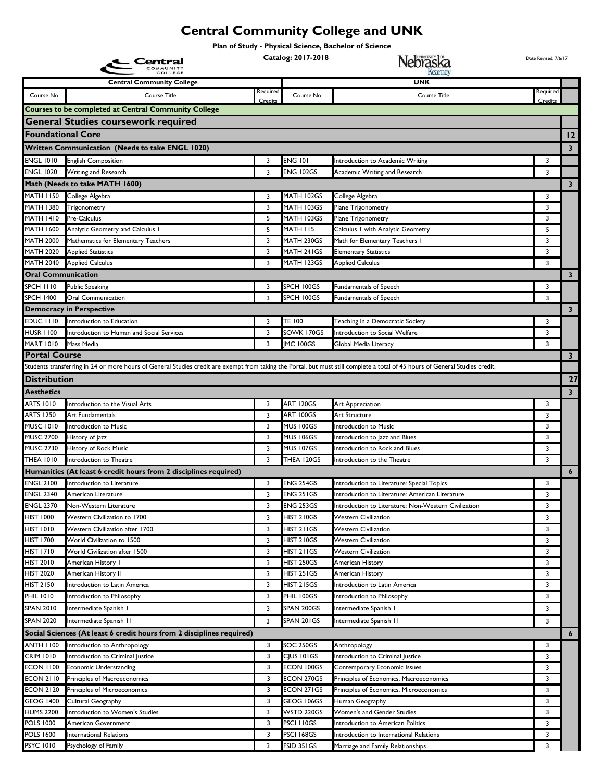## **Central Community College and UNK**

**Plan of Study - Physical Science, Bachelor of Science**

**Catalog: 2017-2018 Date Revised: 7/6/17** Date Revised: 7/6/17 **Catalog: 2017-2018 D**ate Revised: 7/6/17 COMMUNITY **Central Community College UNK** equi equir Course No. Course Title Course No. Course Title **Credits Credits Courses to be completed at Central Community College General Studies coursework required Foundational Core 12 Written Communication (Needs to take ENGL 1020) 3** ENGL 1010 English Composition 3 ENG 101 Introduction to Academic Writing 3 ENGL 1020 Writing and Research 3 ENG 102GS Academic Writing and Research 3 3 3 ENG 102GS Academic Writing and Research **Math (Needs to take MATH 1600) 3** MATH 1150 College Algebra 3 MATH 102GS College Algebra 3 MATH 102GS College Algebra 3 3 MATH 102GS College Algebra 3 3 MATH 102GS College Algebra 3 3 MATH 102GS College Algebra 3 3 MATH 102GS College Algebra 3 3 MATH 102GS MATH 1380 Trigonometry **12.1 States and States 12.1 MATH 103GS** Plane Trigonometry 13 MATH 1380 Trigonometry 13 MATH 1410 Pre-Calculus **1986 Contract Contract Contract Contract Proposition** 3 MATH 103GS Plane Trigonometry **3** MATH 1600 Analytic Geometry and Calculus 1 5 MATH 115 Calculus 1 with Analytic Geometry 5 5 MATH 2000 Mathematics for Elementary Teachers 3 MATH 230GS Math for Elementary Teachers 1 3 3 MATH 2020 Applied Statistics **3 MATH 241GS Elementary Statistics** 3 3 MATH 241GS 2012 12:00 Applied Statistics 3 MATH 12040 Applied Calculus 3 MATH 123GS Applied Calculus 3 3 MATH 123GS Applied Calculus 3 3 **Oral Communication 3** SPCH 1110 Public Speaking 3 SPCH 100GS Fundamentals of Speech 3 3 SPCH 100GS Fundamentals of Speech 3 SPCH 1400 Oral Communication 3 SPCH 100GS Fundamentals of Speech 3 3 **Democracy in Perspective 3** EDUC 1110 Introduction to Education **3** TE 100 Teaching in a Democratic Society 3 3 TE 100 Teaching in a Democratic Society HUSR 1100 Introduction to Human and Social Services 3 SOWK 170GS Introduction to Social Welfare 3 3 3 MART 1010 Mass Media 3 JMC 100GS Global Media Literacy 3 JMC 100GS Global Media Literacy 3 3 JMC 100GS Global Media Literacy 3 3 JMC 100GS Global Media Literacy 3 3 JMC 100GS Global Media Literacy 3 3 JMC 100GS Global Medi **Portal Course 3** Students transferring in 24 or more hours of General Studies credit are exempt from taking the Portal, but must still complete a total of 45 hours of General Studies credit. **Distribution 27 Aesthetics 3** ARTS 1010 Introduction to the Visual Arts 3 **ART 120GS** Art Appreciation 3 **ART 120GS** Art Appreciation 3 ARTS 1250 Art Fundamentals **3 ART 100GS** Art Structure 3 **3 ART 100GS** Art Structure 3 MUSC 1010 Introduction to Music 3 MUS 100GS Introduction to Music 3 MUSC 2700 History of Jazz 3 MUS 106GS Introduction to Jazz and Blues 3 3 MUS 106GS Introduction to Jazz and Blues 1USC 2730 History of Rock Music 3 MUS 107GS Introduction to Rock and Blues 3 3 MUS 107GS Introduction to Rock and Blues THEA 1010 Introduction to Theatre 3 THEA 120GS Introduction to the Theatre 3 **Humanities (At least 6 credit hours from 2 disciplines required) 6** ENGL 2100 Introduction to Literature 3 ENG 254GS Introduction to Literature: Special Topics 3 ENGL 2340 American Literature 2002 12:00 CHE 3 ENG 251GS Introduction to Literature: American Literature 3 ENG 251GS Introduction to Literature 2009 ENGL 2370 Non-Western Literature 3 ENG 253GS Introduction to Literature: Non-Western Civilization 3 HIST 1000 Western Civilization to 1700 **8 12 Contract 10 Contract 10 Contract 1** 3 HIST 210GS Western Civilization 3 3 HIST 210GS Western Civilization HIST 1010 Western Civilization after 1700 **3** HIST 211GS Western Civilization 3 3 3 HIST 211GS Western Civilization HIST 1700 World Civilization to 1500 3 HIST 210GS Western Civilization 3 3 3 3 HIST 210GS Western Civilization HIST 1710 World Civilization after 1500 3 HIST 211GS Western Civilization 3 3 3 3 HIST 211GS Western Civilization HIST 2010 American History 1 and 1992 and 1993 and 1993 and 1997 and 1997 and 1998 american History 1 and 1998 and 1998 and 1998 and 1998 and 1998 and 1998 and 1998 and 1998 and 1998 and 1998 and 1999 and 1999 and 1999 and HIST 2020 American History II 3 HIST 251GS American History 3 3 HIST 251GS American History 3 3 3 HIST 251GS American History HIST 2150 Introduction to Latin America 3 HIST 215GS Introduction to Latin America 3 PHIL 1010 Introduction to Philosophy 3 PHIL 100GS Introduction to Philosophy 3 SPAN 2010 Intermediate Spanish 1 3 SPAN 200GS Intermediate Spanish 1 3 3 SPAN 200GS Intermediate Spanish 1 3 SPAN 2020 Intermediate Spanish II 3 3 SPAN 201GS Intermediate Spanish II 3 3 3 3 3 3 3 3 3 3 3 3 4 3 3 3 4 3 3 4 3 3 4 3 3 4 3 3 4 3 4 3 3 4 3 4 3 3 4 3 4 3 4 3 4 3 4 3 4 3 4 3 4 3 4 3 4 3 4 4 3 4 3 4 4 3 4 4 3 4 4 4 4 4 4 **Social Sciences (At least 6 credit hours from 2 disciplines required) 6** ANTH I 100 Introduction to Anthropology 3 SOC 250GS Anthropology 3 3 SOC 250GS Anthropology 3 3 3 SOC 250GS Anthropology 3 3 SOC 250GS Anthropology 3 3 SOC 250GS Anthropology 3 3 SOC 250GS Anthropology 3 3 SOC 250GS Anthro CRIM 1010 Introduction to Criminal Justice 3 CJUS 101GS Introduction to Criminal Justice 3 3 CJUS 101GS Introduction to Criminal Justice ECON 1100 Economic Understanding 3 ECON 100GS Contemporary Economic Issues 3 3 3 ECON 2110 Principles of Macroeconomics 3 ECON 270GS Principles of Economics, Macroeconomics 3 3 ECON 2120 Principles of Microeconomics **3** ECON 271GS Principles of Economics, Microeconomics **3** 3 GEOG 1400 Cultural Geography 3 GEOG 106GS Human Geography 3 HUMS 2200 Introduction to Women's Studies 3 WSTD 220GS Women's and Gender Studies 3 POLS 1000 American Government 3 PSCI 110GS Introduction to American Politics 3 POLS 1600 International Relations 3 PSCI 168GS Introduction to International Relations 3 PSYC 1010 Psychology of Family 3 FSID 351GS Marriage and Family Relationships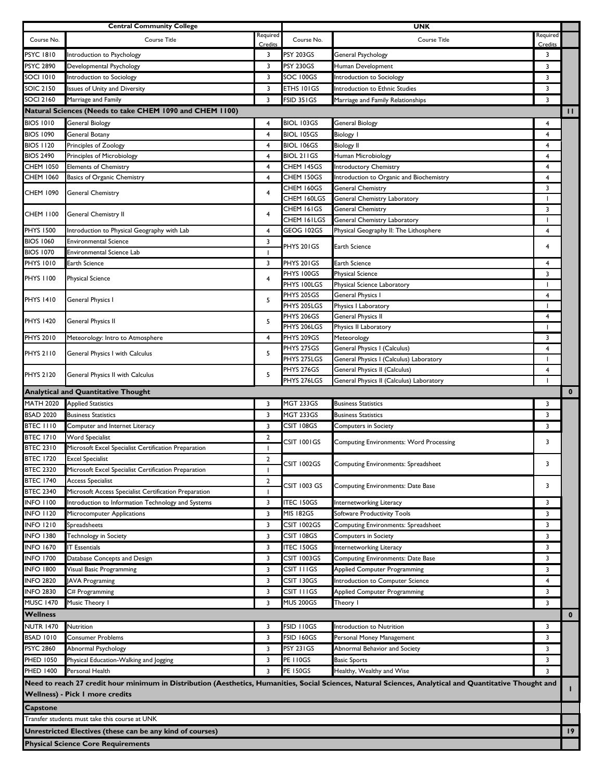|                                      | <b>Central Community College</b>                                               |                     |                           | <b>UNK</b>                                                                                                                                               |                               |                 |
|--------------------------------------|--------------------------------------------------------------------------------|---------------------|---------------------------|----------------------------------------------------------------------------------------------------------------------------------------------------------|-------------------------------|-----------------|
| Course No.                           | Course Title                                                                   | Required<br>Credits | Course No.                | <b>Course Title</b>                                                                                                                                      | Required                      |                 |
| <b>PSYC 1810</b>                     | Introduction to Psychology                                                     | 3                   | <b>PSY 203GS</b>          | General Psychology                                                                                                                                       | Credits<br>3                  |                 |
| <b>PSYC 2890</b>                     | Developmental Psychology                                                       | 3                   | <b>PSY 230GS</b>          | Human Development                                                                                                                                        | 3                             |                 |
| <b>SOCI 1010</b>                     | Introduction to Sociology                                                      | 3                   | SOC 100GS                 | Introduction to Sociology                                                                                                                                | 3                             |                 |
| <b>SOIC 2150</b>                     | Issues of Unity and Diversity                                                  | 3                   | ETHS 101GS                | Introduction to Ethnic Studies                                                                                                                           | 3                             |                 |
| <b>SOCI 2160</b>                     | Marriage and Family                                                            | 3                   | FSID 351GS                | Marriage and Family Relationships                                                                                                                        | 3                             |                 |
|                                      | Natural Sciences (Needs to take CHEM 1090 and CHEM 1100)                       |                     |                           |                                                                                                                                                          |                               | П.              |
| <b>BIOS 1010</b>                     | <b>General Biology</b>                                                         | $\overline{4}$      | BIOL 103GS                | <b>General Biology</b>                                                                                                                                   | 4                             |                 |
| <b>BIOS 1090</b>                     | General Botany                                                                 | 4                   | <b>BIOL 105GS</b>         | <b>Biology I</b>                                                                                                                                         | $\overline{4}$                |                 |
| <b>BIOS 1120</b>                     | Principles of Zoology                                                          | 4                   | BIOL 106GS                | <b>Biology II</b>                                                                                                                                        | 4                             |                 |
| <b>BIOS 2490</b>                     | Principles of Microbiology                                                     | $\overline{4}$      | BIOL 211GS                | Human Microbiology                                                                                                                                       | 4                             |                 |
| <b>CHEM 1050</b>                     | <b>Elements of Chemistry</b>                                                   | 4                   | CHEM 145GS                | Introductory Chemistry                                                                                                                                   | 4                             |                 |
| <b>CHEM 1060</b>                     | Basics of Organic Chemistry                                                    | 4                   | CHEM 150GS                | Introduction to Organic and Biochemistry                                                                                                                 | 4                             |                 |
|                                      |                                                                                |                     | CHEM 160GS                | General Chemistry                                                                                                                                        | 3                             |                 |
| <b>CHEM 1090</b>                     | <b>General Chemistry</b>                                                       | 4                   | CHEM 160LGS               | General Chemistry Laboratory                                                                                                                             | $\overline{\phantom{a}}$      |                 |
|                                      | General Chemistry II                                                           |                     | CHEM 161GS                | <b>General Chemistry</b>                                                                                                                                 | 3                             |                 |
| CHEM 1100                            |                                                                                | 4                   | CHEM 161LGS               | General Chemistry Laboratory                                                                                                                             | $\overline{\phantom{a}}$      |                 |
| <b>PHYS 1500</b>                     | Introduction to Physical Geography with Lab                                    | 4                   | GEOG 102GS                | Physical Geography II: The Lithosphere                                                                                                                   | 4                             |                 |
| <b>BIOS 1060</b>                     | <b>Environmental Science</b>                                                   | 3                   |                           |                                                                                                                                                          |                               |                 |
| <b>BIOS 1070</b>                     | <b>Environmental Science Lab</b>                                               | 1                   | PHYS 201GS                | <b>Earth Science</b>                                                                                                                                     | 4                             |                 |
| <b>PHYS 1010</b>                     | Earth Science                                                                  | 3                   | PHYS 201GS                | Earth Science                                                                                                                                            | 4                             |                 |
| PHYS 1100                            | <b>Physical Science</b>                                                        | $\overline{4}$      | PHYS 100GS                | <b>Physical Science</b>                                                                                                                                  | 3                             |                 |
|                                      |                                                                                |                     | PHYS 100LGS               | Physical Science Laboratory                                                                                                                              | $\overline{\phantom{a}}$      |                 |
| <b>PHYS 1410</b>                     | General Physics I                                                              | 5                   | <b>PHYS 205GS</b>         | General Physics I                                                                                                                                        | 4                             |                 |
|                                      |                                                                                |                     | PHYS 205LGS               | Physics I Laboratory                                                                                                                                     | $\overline{\phantom{a}}$      |                 |
| <b>PHYS 1420</b>                     | General Physics II                                                             | 5                   | PHYS 206GS                | General Physics II                                                                                                                                       | 4                             |                 |
|                                      |                                                                                |                     | PHYS 206LGS               | Physics II Laboratory                                                                                                                                    | $\mathbf{I}$                  |                 |
| <b>PHYS 2010</b>                     | Meteorology: Intro to Atmosphere                                               | $\overline{4}$      | PHYS 209GS                | Meteorology                                                                                                                                              | 3                             |                 |
| <b>PHYS 2110</b>                     | General Physics I with Calculus                                                | 5                   | PHYS 275GS                | General Physics I (Calculus)                                                                                                                             | 4                             |                 |
|                                      |                                                                                |                     | PHYS 275LGS               | General Physics I (Calculus) Laboratory                                                                                                                  | $\overline{\phantom{a}}$      |                 |
| PHYS 2120                            | General Physics II with Calculus                                               | 5                   | PHYS 276GS<br>PHYS 276LGS | General Physics II (Calculus)                                                                                                                            | 4<br>$\overline{\phantom{a}}$ |                 |
|                                      | <b>Analytical and Quantitative Thought</b>                                     |                     |                           | General Physics II (Calculus) Laboratory                                                                                                                 |                               | $\mathbf{0}$    |
|                                      |                                                                                |                     |                           |                                                                                                                                                          |                               |                 |
| <b>MATH 2020</b>                     | <b>Applied Statistics</b><br><b>Business Statistics</b>                        | 3                   | MGT 233GS                 | <b>Business Statistics</b>                                                                                                                               | 3                             |                 |
| <b>BSAD 2020</b>                     |                                                                                | 3                   | MGT 233GS                 | <b>Business Statistics</b>                                                                                                                               | 3                             |                 |
| <b>BTEC 1110</b><br><b>BTEC 1710</b> | Computer and Internet Literacy                                                 | 3                   | CSIT 108GS                | <b>Computers in Society</b>                                                                                                                              | 3                             |                 |
| <b>BTEC 2310</b>                     | <b>Word Specialist</b><br>Microsoft Excel Specialist Certification Preparation | $\overline{2}$<br>T | CSIT 1001GS               | <b>Computing Environments: Word Processing</b>                                                                                                           | 3                             |                 |
| <b>BTEC 1720</b>                     | <b>Excel Specialist</b>                                                        | $\overline{2}$      |                           |                                                                                                                                                          |                               |                 |
| <b>BTEC 2320</b>                     | Microsoft Excel Specialist Certification Preparation                           |                     | <b>CSIT 1002GS</b>        | Computing Environments: Spreadsheet                                                                                                                      | 3                             |                 |
| <b>BTEC 1740</b>                     | <b>Access Specialist</b>                                                       | $\overline{2}$      |                           |                                                                                                                                                          |                               |                 |
| <b>BTEC 2340</b>                     | Microsoft Access Specialist Certification Preparation                          | -1                  | CSIT 1003 GS              | Computing Environments: Date Base                                                                                                                        | 3                             |                 |
| <b>INFO 1100</b>                     | Introduction to Information Technology and Systems                             | 3                   | <b>ITEC 150GS</b>         | Internetworking Literacy                                                                                                                                 | 3                             |                 |
| <b>INFO 1120</b>                     | Microcomputer Applications                                                     | 3                   | MIS 182GS                 | Software Productivity Tools                                                                                                                              | 3                             |                 |
| <b>INFO 1210</b>                     | Spreadsheets                                                                   | 3                   | CSIT 1002GS               | Computing Environments: Spreadsheet                                                                                                                      | 3                             |                 |
| <b>INFO 1380</b>                     | Technology in Society                                                          | 3                   | CSIT 108GS                | Computers in Society                                                                                                                                     | 3                             |                 |
| <b>INFO 1670</b>                     | <b>IT Essentials</b>                                                           | 3                   | <b>TEC 150GS</b>          | Internetworking Literacy                                                                                                                                 | 3                             |                 |
| <b>INFO 1700</b>                     | Database Concepts and Design                                                   | 3                   | CSIT 1003GS               | Computing Environments: Date Base                                                                                                                        | 3                             |                 |
| <b>INFO 1800</b>                     |                                                                                |                     |                           | Applied Computer Programming                                                                                                                             | 3                             |                 |
|                                      |                                                                                |                     |                           |                                                                                                                                                          |                               |                 |
|                                      | Visual Basic Programming                                                       | 3                   | CSIT I I I GS             |                                                                                                                                                          |                               |                 |
| <b>INFO 2820</b>                     | <b>JAVA Programing</b>                                                         | 3                   | CSIT 130GS                | Introduction to Computer Science                                                                                                                         | 4                             |                 |
| <b>INFO 2830</b>                     | C# Programming                                                                 | 3                   | CSIT I I I GS             | <b>Applied Computer Programming</b>                                                                                                                      | 3                             |                 |
| <b>MUSC 1470</b>                     | Music Theory I                                                                 | 3                   | <b>MUS 200GS</b>          | Theory I                                                                                                                                                 | 3                             |                 |
| <b>Wellness</b>                      |                                                                                |                     |                           |                                                                                                                                                          |                               | $\mathbf 0$     |
| <b>NUTR 1470</b>                     | Nutrition                                                                      | 3                   | FSID 110GS                | Introduction to Nutrition                                                                                                                                | 3                             |                 |
| <b>BSAD 1010</b>                     | <b>Consumer Problems</b>                                                       | 3                   | <b>FSID 160GS</b>         | Personal Money Management                                                                                                                                | 3                             |                 |
| <b>PSYC 2860</b>                     | Abnormal Psychology                                                            | 3                   | <b>PSY 231GS</b>          | Abnormal Behavior and Society                                                                                                                            | 3                             |                 |
| PHED 1050                            | Physical Education-Walking and Jogging                                         | 3                   | <b>PE 110GS</b>           | <b>Basic Sports</b>                                                                                                                                      | 3                             |                 |
| <b>PHED 1400</b>                     | Personal Health                                                                | 3                   | <b>PE 150GS</b>           | Healthy, Wealthy and Wise                                                                                                                                | 3                             |                 |
|                                      |                                                                                |                     |                           | Need to reach 27 credit hour minimum in Distribution (Aesthetics, Humanities, Social Sciences, Natural Sciences, Analytical and Quantitative Thought and |                               | L               |
|                                      | Wellness) - Pick I more credits                                                |                     |                           |                                                                                                                                                          |                               |                 |
| <b>Capstone</b>                      |                                                                                |                     |                           |                                                                                                                                                          |                               |                 |
|                                      | Transfer students must take this course at UNK                                 |                     |                           |                                                                                                                                                          |                               |                 |
|                                      | Unrestricted Electives (these can be any kind of courses)                      |                     |                           |                                                                                                                                                          |                               | 19 <sup>2</sup> |